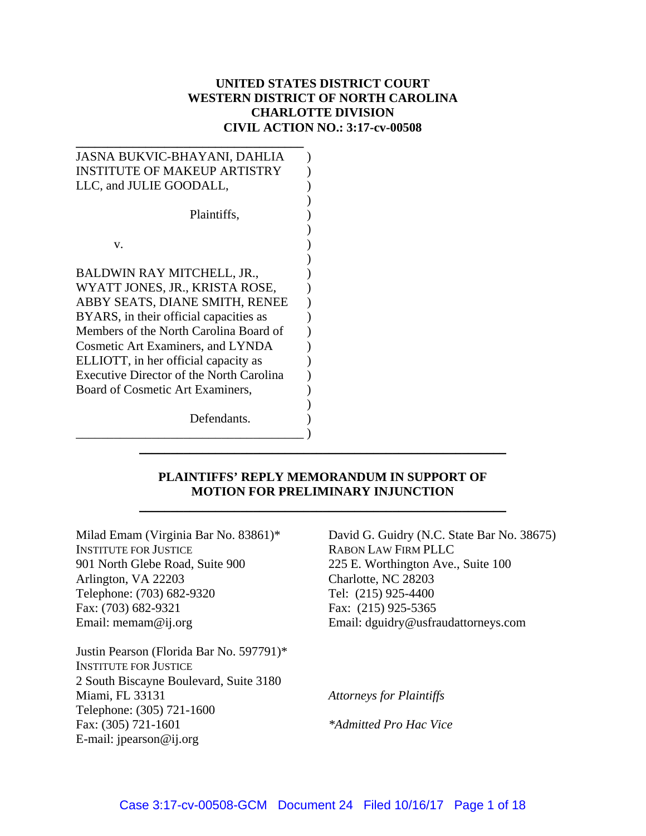# **UNITED STATES DISTRICT COURT WESTERN DISTRICT OF NORTH CAROLINA CHARLOTTE DIVISION CIVIL ACTION NO.: 3:17-cv-00508**

| JASNA BUKVIC-BHAYANI, DAHLIA                    |
|-------------------------------------------------|
| <b>INSTITUTE OF MAKEUP ARTISTRY</b>             |
| LLC, and JULIE GOODALL,                         |
|                                                 |
| Plaintiffs,                                     |
|                                                 |
| V.                                              |
|                                                 |
| BALDWIN RAY MITCHELL, JR.,                      |
| WYATT JONES, JR., KRISTA ROSE,                  |
| ABBY SEATS, DIANE SMITH, RENEE                  |
| BYARS, in their official capacities as          |
| Members of the North Carolina Board of          |
| <b>Cosmetic Art Examiners, and LYNDA</b>        |
| ELLIOTT, in her official capacity as            |
| <b>Executive Director of the North Carolina</b> |
| Board of Cosmetic Art Examiners,                |
|                                                 |
| Defendants.                                     |
|                                                 |

## **PLAINTIFFS' REPLY MEMORANDUM IN SUPPORT OF MOTION FOR PRELIMINARY INJUNCTION**

\_\_\_\_\_\_\_\_\_\_\_\_\_\_\_\_\_\_\_\_\_\_\_\_\_\_\_\_\_\_\_\_\_\_\_\_\_\_\_\_\_\_\_\_\_\_\_\_\_\_\_\_\_\_\_\_\_\_

\_\_\_\_\_\_\_\_\_\_\_\_\_\_\_\_\_\_\_\_\_\_\_\_\_\_\_\_\_\_\_\_\_\_\_\_\_\_\_\_\_\_\_\_\_\_\_\_\_\_\_\_\_\_\_\_\_\_

Milad Emam (Virginia Bar No. 83861)\* INSTITUTE FOR JUSTICE 901 North Glebe Road, Suite 900 Arlington, VA 22203 Telephone: (703) 682-9320 Fax: (703) 682-9321 Email: memam@ij.org

Justin Pearson (Florida Bar No. 597791)\* INSTITUTE FOR JUSTICE 2 South Biscayne Boulevard, Suite 3180 Miami, FL 33131 Telephone: (305) 721-1600 Fax: (305) 721-1601 E-mail: jpearson@ij.org

David G. Guidry (N.C. State Bar No. 38675) RABON LAW FIRM PLLC 225 E. Worthington Ave., Suite 100 Charlotte, NC 28203 Tel: (215) 925-4400 Fax: (215) 925-5365 Email: dguidry@usfraudattorneys.com

*Attorneys for Plaintiffs* 

*\*Admitted Pro Hac Vice*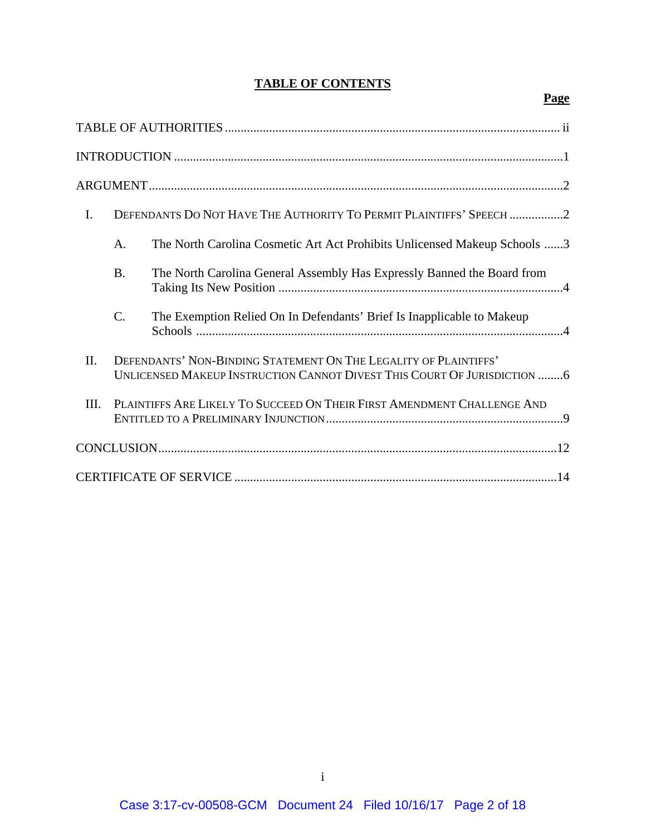# **TABLE OF CONTENTS**

# **Page**

| $I_{\cdot}$ |           | DEFENDANTS DO NOT HAVE THE AUTHORITY TO PERMIT PLAINTIFFS' SPEECH 2                                                                          |
|-------------|-----------|----------------------------------------------------------------------------------------------------------------------------------------------|
|             | A.        | The North Carolina Cosmetic Art Act Prohibits Unlicensed Makeup Schools 3                                                                    |
|             | <b>B.</b> | The North Carolina General Assembly Has Expressly Banned the Board from                                                                      |
|             | C.        | The Exemption Relied On In Defendants' Brief Is Inapplicable to Makeup                                                                       |
| II.         |           | DEFENDANTS' NON-BINDING STATEMENT ON THE LEGALITY OF PLAINTIFFS'<br>UNLICENSED MAKEUP INSTRUCTION CANNOT DIVEST THIS COURT OF JURISDICTION 6 |
| III.        |           | PLAINTIFFS ARE LIKELY TO SUCCEED ON THEIR FIRST AMENDMENT CHALLENGE AND                                                                      |
|             |           |                                                                                                                                              |
|             |           |                                                                                                                                              |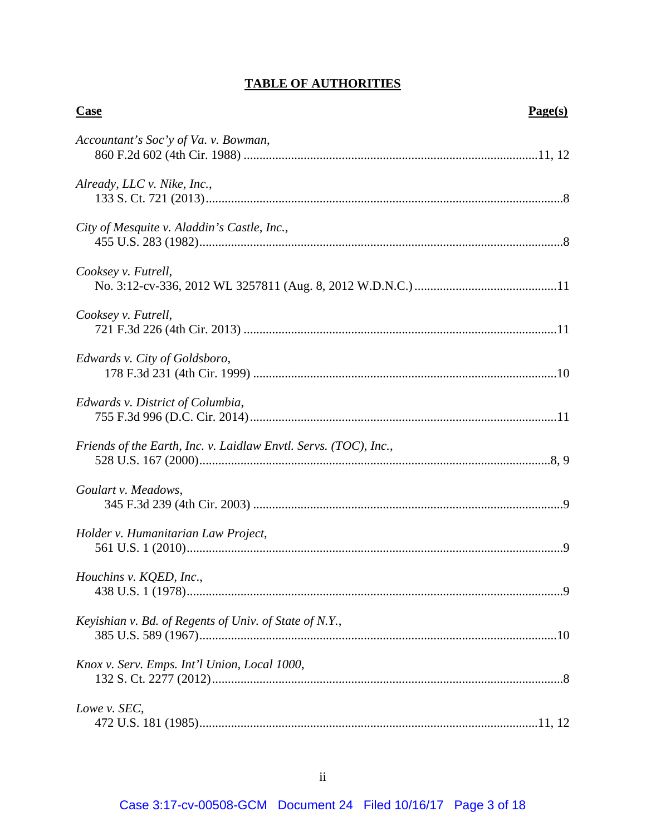# **TABLE OF AUTHORITIES**

| <b>Case</b>                                                      | Page(s) |
|------------------------------------------------------------------|---------|
| Accountant's Soc'y of Va. v. Bowman,                             |         |
| Already, LLC v. Nike, Inc.,                                      |         |
| City of Mesquite v. Aladdin's Castle, Inc.,                      |         |
| Cooksey v. Futrell,                                              |         |
| Cooksey v. Futrell,                                              |         |
| Edwards v. City of Goldsboro,                                    |         |
| Edwards v. District of Columbia,                                 |         |
| Friends of the Earth, Inc. v. Laidlaw Envtl. Servs. (TOC), Inc., |         |
| Goulart v. Meadows,                                              |         |
| Holder v. Humanitarian Law Project,                              |         |
| Houchins v. KQED, Inc.,                                          |         |
| Keyishian v. Bd. of Regents of Univ. of State of N.Y.,           |         |
| Knox v. Serv. Emps. Int'l Union, Local 1000,                     |         |
| Lowe v. SEC,                                                     |         |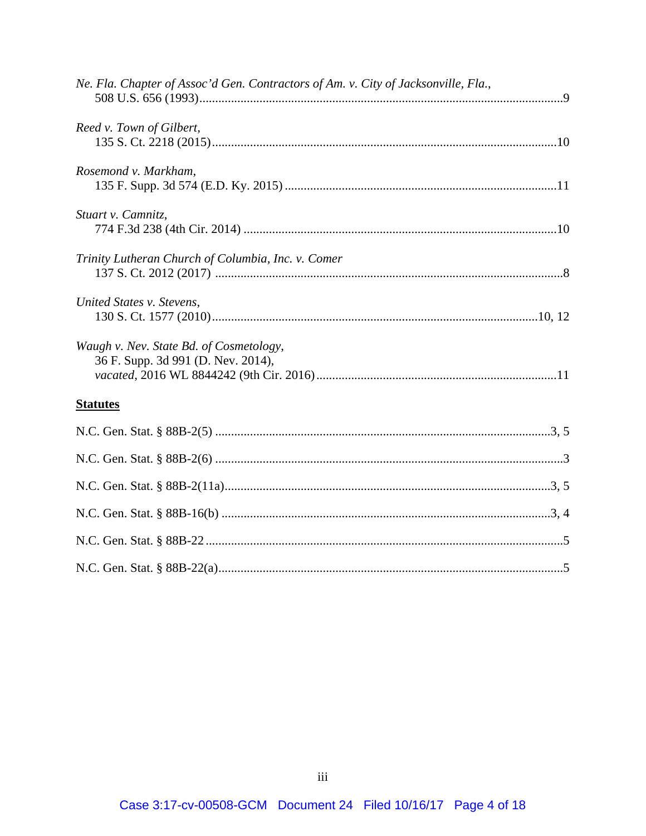| Ne. Fla. Chapter of Assoc'd Gen. Contractors of Am. v. City of Jacksonville, Fla., |  |
|------------------------------------------------------------------------------------|--|
| Reed v. Town of Gilbert,                                                           |  |
| Rosemond v. Markham,                                                               |  |
| Stuart v. Camnitz,                                                                 |  |
| Trinity Lutheran Church of Columbia, Inc. v. Comer                                 |  |
| United States v. Stevens,                                                          |  |
| Waugh v. Nev. State Bd. of Cosmetology,<br>36 F. Supp. 3d 991 (D. Nev. 2014),      |  |
| <b>Statutes</b>                                                                    |  |
|                                                                                    |  |
|                                                                                    |  |
|                                                                                    |  |
|                                                                                    |  |
|                                                                                    |  |
|                                                                                    |  |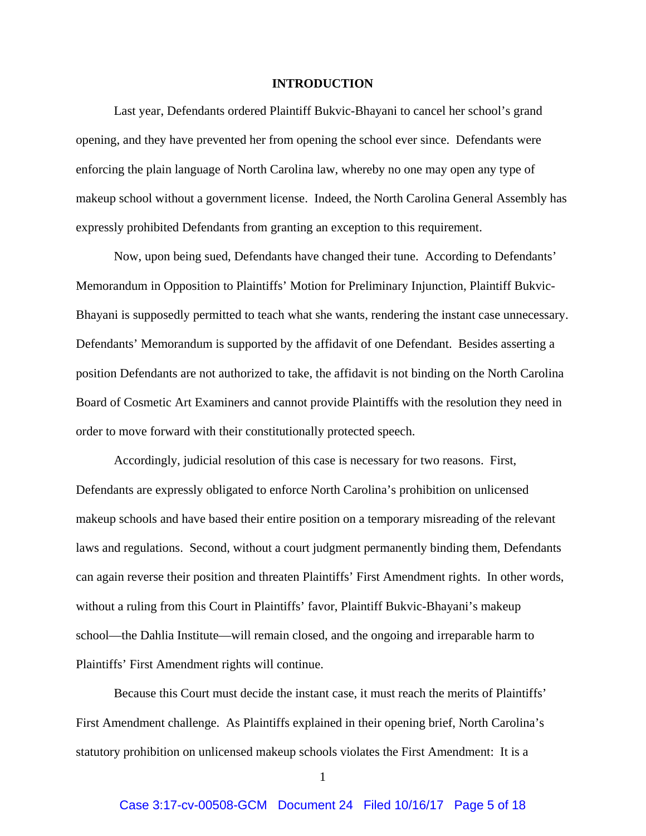#### **INTRODUCTION**

Last year, Defendants ordered Plaintiff Bukvic-Bhayani to cancel her school's grand opening, and they have prevented her from opening the school ever since. Defendants were enforcing the plain language of North Carolina law, whereby no one may open any type of makeup school without a government license. Indeed, the North Carolina General Assembly has expressly prohibited Defendants from granting an exception to this requirement.

Now, upon being sued, Defendants have changed their tune. According to Defendants' Memorandum in Opposition to Plaintiffs' Motion for Preliminary Injunction, Plaintiff Bukvic-Bhayani is supposedly permitted to teach what she wants, rendering the instant case unnecessary. Defendants' Memorandum is supported by the affidavit of one Defendant. Besides asserting a position Defendants are not authorized to take, the affidavit is not binding on the North Carolina Board of Cosmetic Art Examiners and cannot provide Plaintiffs with the resolution they need in order to move forward with their constitutionally protected speech.

Accordingly, judicial resolution of this case is necessary for two reasons. First, Defendants are expressly obligated to enforce North Carolina's prohibition on unlicensed makeup schools and have based their entire position on a temporary misreading of the relevant laws and regulations. Second, without a court judgment permanently binding them, Defendants can again reverse their position and threaten Plaintiffs' First Amendment rights. In other words, without a ruling from this Court in Plaintiffs' favor, Plaintiff Bukvic-Bhayani's makeup school—the Dahlia Institute—will remain closed, and the ongoing and irreparable harm to Plaintiffs' First Amendment rights will continue.

Because this Court must decide the instant case, it must reach the merits of Plaintiffs' First Amendment challenge. As Plaintiffs explained in their opening brief, North Carolina's statutory prohibition on unlicensed makeup schools violates the First Amendment: It is a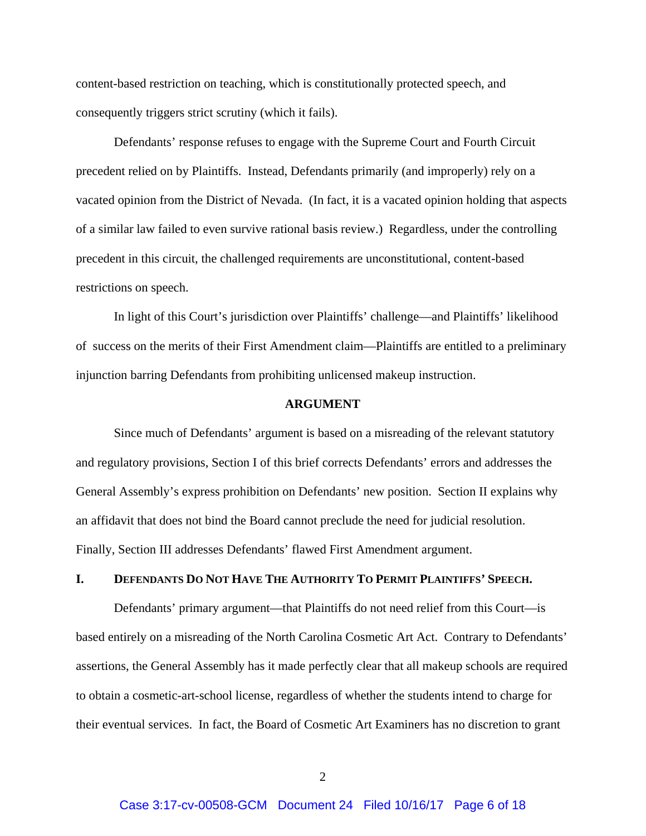content-based restriction on teaching, which is constitutionally protected speech, and consequently triggers strict scrutiny (which it fails).

Defendants' response refuses to engage with the Supreme Court and Fourth Circuit precedent relied on by Plaintiffs. Instead, Defendants primarily (and improperly) rely on a vacated opinion from the District of Nevada. (In fact, it is a vacated opinion holding that aspects of a similar law failed to even survive rational basis review.) Regardless, under the controlling precedent in this circuit, the challenged requirements are unconstitutional, content-based restrictions on speech.

 In light of this Court's jurisdiction over Plaintiffs' challenge—and Plaintiffs' likelihood of success on the merits of their First Amendment claim—Plaintiffs are entitled to a preliminary injunction barring Defendants from prohibiting unlicensed makeup instruction.

#### **ARGUMENT**

Since much of Defendants' argument is based on a misreading of the relevant statutory and regulatory provisions, Section I of this brief corrects Defendants' errors and addresses the General Assembly's express prohibition on Defendants' new position. Section II explains why an affidavit that does not bind the Board cannot preclude the need for judicial resolution. Finally, Section III addresses Defendants' flawed First Amendment argument.

## **I. DEFENDANTS DO NOT HAVE THE AUTHORITY TO PERMIT PLAINTIFFS' SPEECH.**

Defendants' primary argument—that Plaintiffs do not need relief from this Court—is based entirely on a misreading of the North Carolina Cosmetic Art Act. Contrary to Defendants' assertions, the General Assembly has it made perfectly clear that all makeup schools are required to obtain a cosmetic-art-school license, regardless of whether the students intend to charge for their eventual services. In fact, the Board of Cosmetic Art Examiners has no discretion to grant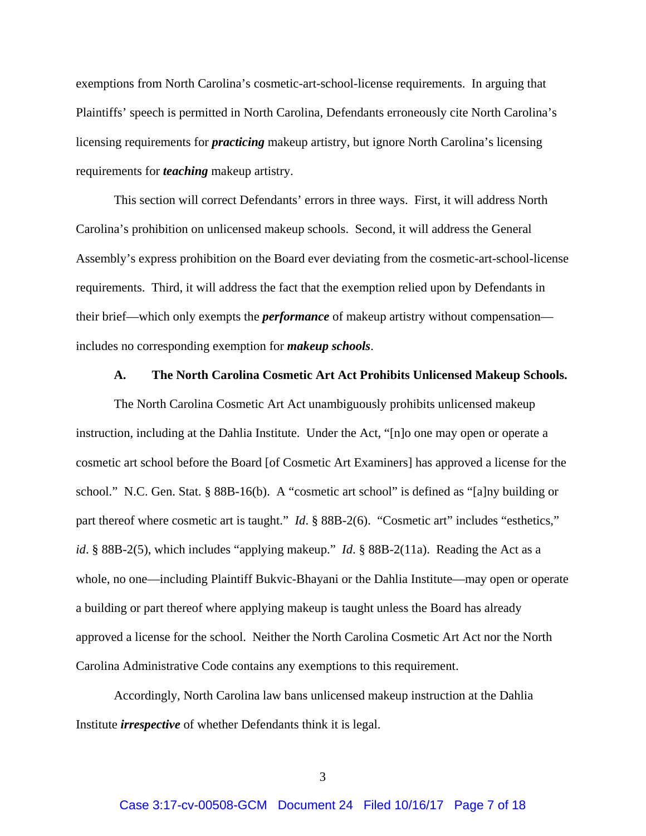exemptions from North Carolina's cosmetic-art-school-license requirements. In arguing that Plaintiffs' speech is permitted in North Carolina, Defendants erroneously cite North Carolina's licensing requirements for *practicing* makeup artistry, but ignore North Carolina's licensing requirements for *teaching* makeup artistry.

This section will correct Defendants' errors in three ways. First, it will address North Carolina's prohibition on unlicensed makeup schools. Second, it will address the General Assembly's express prohibition on the Board ever deviating from the cosmetic-art-school-license requirements. Third, it will address the fact that the exemption relied upon by Defendants in their brief—which only exempts the *performance* of makeup artistry without compensation includes no corresponding exemption for *makeup schools*.

#### **A. The North Carolina Cosmetic Art Act Prohibits Unlicensed Makeup Schools.**

The North Carolina Cosmetic Art Act unambiguously prohibits unlicensed makeup instruction, including at the Dahlia Institute. Under the Act, "[n]o one may open or operate a cosmetic art school before the Board [of Cosmetic Art Examiners] has approved a license for the school." N.C. Gen. Stat. § 88B-16(b). A "cosmetic art school" is defined as "[a]ny building or part thereof where cosmetic art is taught." *Id.* § 88B-2(6). "Cosmetic art" includes "esthetics," *id*. § 88B-2(5), which includes "applying makeup." *Id*. § 88B-2(11a). Reading the Act as a whole, no one—including Plaintiff Bukvic-Bhayani or the Dahlia Institute—may open or operate a building or part thereof where applying makeup is taught unless the Board has already approved a license for the school. Neither the North Carolina Cosmetic Art Act nor the North Carolina Administrative Code contains any exemptions to this requirement.

Accordingly, North Carolina law bans unlicensed makeup instruction at the Dahlia Institute *irrespective* of whether Defendants think it is legal.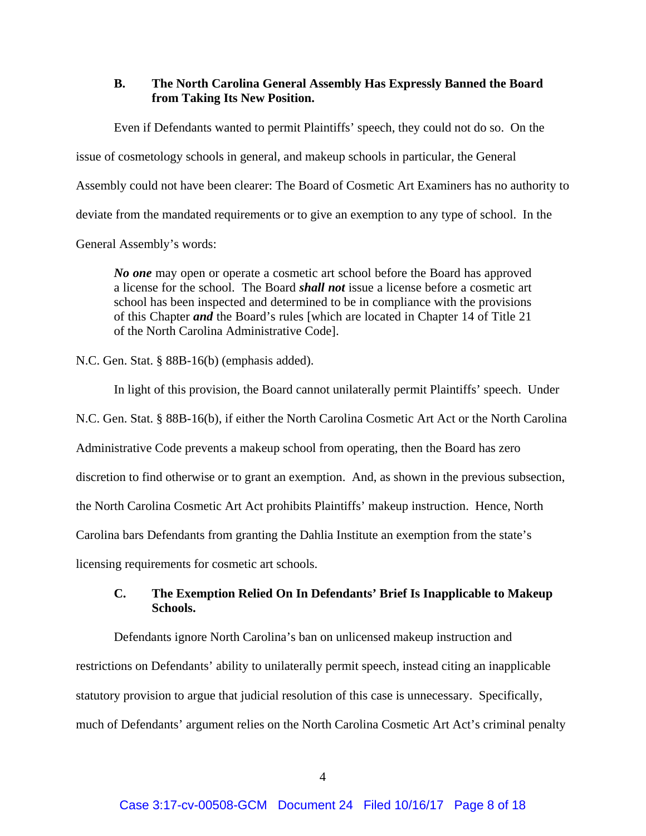## **B. The North Carolina General Assembly Has Expressly Banned the Board from Taking Its New Position.**

Even if Defendants wanted to permit Plaintiffs' speech, they could not do so. On the issue of cosmetology schools in general, and makeup schools in particular, the General Assembly could not have been clearer: The Board of Cosmetic Art Examiners has no authority to deviate from the mandated requirements or to give an exemption to any type of school. In the General Assembly's words:

*No one* may open or operate a cosmetic art school before the Board has approved a license for the school. The Board *shall not* issue a license before a cosmetic art school has been inspected and determined to be in compliance with the provisions of this Chapter *and* the Board's rules [which are located in Chapter 14 of Title 21 of the North Carolina Administrative Code].

N.C. Gen. Stat. § 88B-16(b) (emphasis added).

In light of this provision, the Board cannot unilaterally permit Plaintiffs' speech. Under N.C. Gen. Stat. § 88B-16(b), if either the North Carolina Cosmetic Art Act or the North Carolina Administrative Code prevents a makeup school from operating, then the Board has zero discretion to find otherwise or to grant an exemption. And, as shown in the previous subsection, the North Carolina Cosmetic Art Act prohibits Plaintiffs' makeup instruction. Hence, North Carolina bars Defendants from granting the Dahlia Institute an exemption from the state's licensing requirements for cosmetic art schools.

# **C. The Exemption Relied On In Defendants' Brief Is Inapplicable to Makeup Schools.**

Defendants ignore North Carolina's ban on unlicensed makeup instruction and restrictions on Defendants' ability to unilaterally permit speech, instead citing an inapplicable statutory provision to argue that judicial resolution of this case is unnecessary. Specifically, much of Defendants' argument relies on the North Carolina Cosmetic Art Act's criminal penalty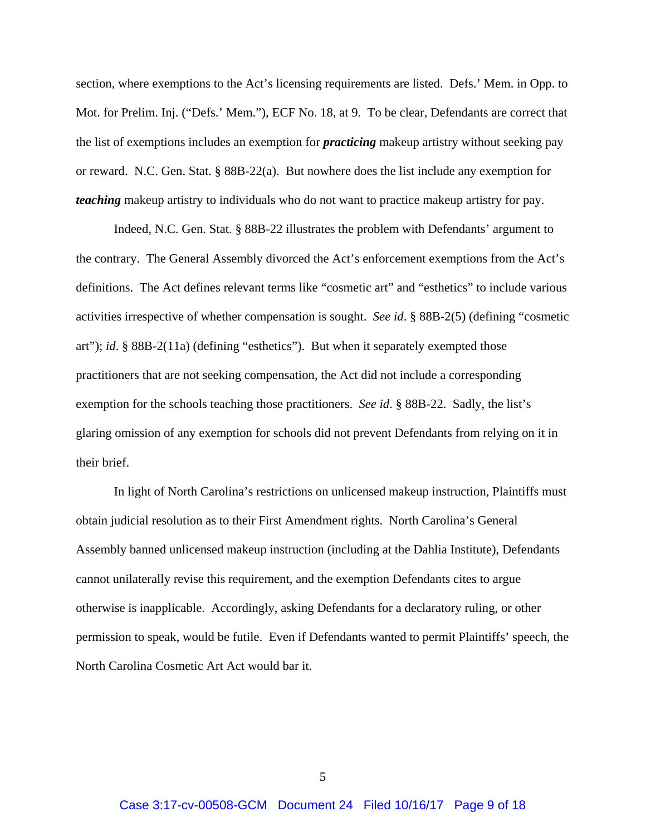section, where exemptions to the Act's licensing requirements are listed. Defs.' Mem. in Opp. to Mot. for Prelim. Inj. ("Defs.' Mem."), ECF No. 18, at 9. To be clear, Defendants are correct that the list of exemptions includes an exemption for *practicing* makeup artistry without seeking pay or reward. N.C. Gen. Stat. § 88B-22(a). But nowhere does the list include any exemption for *teaching* makeup artistry to individuals who do not want to practice makeup artistry for pay.

Indeed, N.C. Gen. Stat. § 88B-22 illustrates the problem with Defendants' argument to the contrary. The General Assembly divorced the Act's enforcement exemptions from the Act's definitions. The Act defines relevant terms like "cosmetic art" and "esthetics" to include various activities irrespective of whether compensation is sought. *See id*. § 88B-2(5) (defining "cosmetic art"); *id*. § 88B-2(11a) (defining "esthetics"). But when it separately exempted those practitioners that are not seeking compensation, the Act did not include a corresponding exemption for the schools teaching those practitioners. *See id*. § 88B-22. Sadly, the list's glaring omission of any exemption for schools did not prevent Defendants from relying on it in their brief.

In light of North Carolina's restrictions on unlicensed makeup instruction, Plaintiffs must obtain judicial resolution as to their First Amendment rights. North Carolina's General Assembly banned unlicensed makeup instruction (including at the Dahlia Institute), Defendants cannot unilaterally revise this requirement, and the exemption Defendants cites to argue otherwise is inapplicable. Accordingly, asking Defendants for a declaratory ruling, or other permission to speak, would be futile. Even if Defendants wanted to permit Plaintiffs' speech, the North Carolina Cosmetic Art Act would bar it.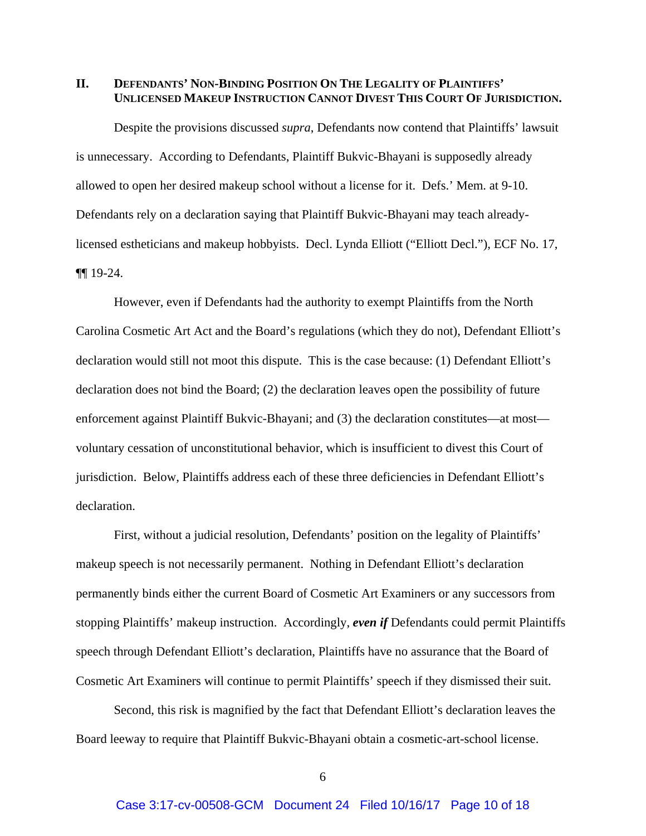**II. DEFENDANTS' NON-BINDING POSITION ON THE LEGALITY OF PLAINTIFFS' UNLICENSED MAKEUP INSTRUCTION CANNOT DIVEST THIS COURT OF JURISDICTION.** 

Despite the provisions discussed *supra*, Defendants now contend that Plaintiffs' lawsuit is unnecessary. According to Defendants, Plaintiff Bukvic-Bhayani is supposedly already allowed to open her desired makeup school without a license for it. Defs.' Mem. at 9-10. Defendants rely on a declaration saying that Plaintiff Bukvic-Bhayani may teach alreadylicensed estheticians and makeup hobbyists. Decl. Lynda Elliott ("Elliott Decl."), ECF No. 17, ¶¶ 19-24.

However, even if Defendants had the authority to exempt Plaintiffs from the North Carolina Cosmetic Art Act and the Board's regulations (which they do not), Defendant Elliott's declaration would still not moot this dispute. This is the case because: (1) Defendant Elliott's declaration does not bind the Board; (2) the declaration leaves open the possibility of future enforcement against Plaintiff Bukvic-Bhayani; and (3) the declaration constitutes—at most voluntary cessation of unconstitutional behavior, which is insufficient to divest this Court of jurisdiction. Below, Plaintiffs address each of these three deficiencies in Defendant Elliott's declaration.

First, without a judicial resolution, Defendants' position on the legality of Plaintiffs' makeup speech is not necessarily permanent. Nothing in Defendant Elliott's declaration permanently binds either the current Board of Cosmetic Art Examiners or any successors from stopping Plaintiffs' makeup instruction. Accordingly, *even if* Defendants could permit Plaintiffs speech through Defendant Elliott's declaration, Plaintiffs have no assurance that the Board of Cosmetic Art Examiners will continue to permit Plaintiffs' speech if they dismissed their suit.

Second, this risk is magnified by the fact that Defendant Elliott's declaration leaves the Board leeway to require that Plaintiff Bukvic-Bhayani obtain a cosmetic-art-school license.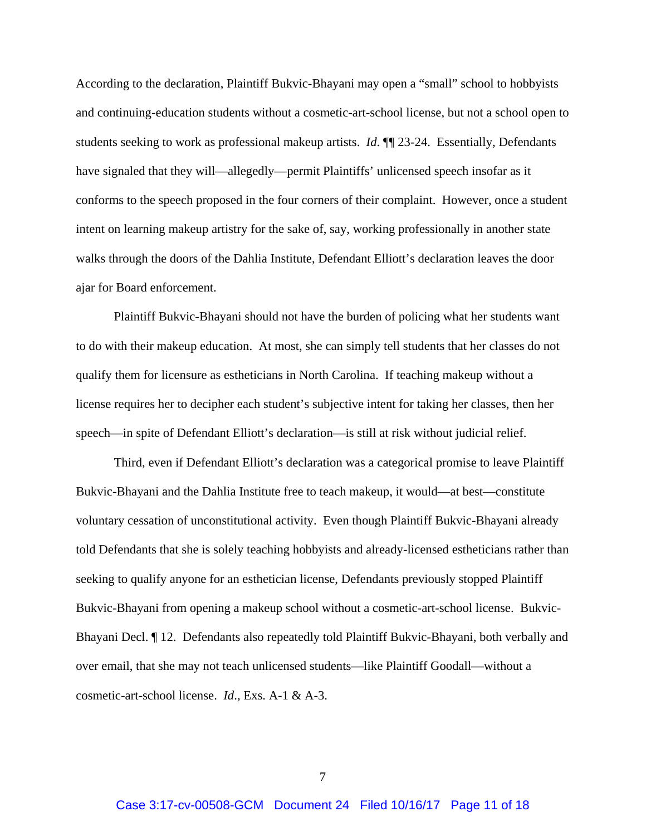According to the declaration, Plaintiff Bukvic-Bhayani may open a "small" school to hobbyists and continuing-education students without a cosmetic-art-school license, but not a school open to students seeking to work as professional makeup artists. *Id*. ¶¶ 23-24. Essentially, Defendants have signaled that they will—allegedly—permit Plaintiffs' unlicensed speech insofar as it conforms to the speech proposed in the four corners of their complaint. However, once a student intent on learning makeup artistry for the sake of, say, working professionally in another state walks through the doors of the Dahlia Institute, Defendant Elliott's declaration leaves the door ajar for Board enforcement.

Plaintiff Bukvic-Bhayani should not have the burden of policing what her students want to do with their makeup education. At most, she can simply tell students that her classes do not qualify them for licensure as estheticians in North Carolina. If teaching makeup without a license requires her to decipher each student's subjective intent for taking her classes, then her speech—in spite of Defendant Elliott's declaration—is still at risk without judicial relief.

Third, even if Defendant Elliott's declaration was a categorical promise to leave Plaintiff Bukvic-Bhayani and the Dahlia Institute free to teach makeup, it would—at best—constitute voluntary cessation of unconstitutional activity. Even though Plaintiff Bukvic-Bhayani already told Defendants that she is solely teaching hobbyists and already-licensed estheticians rather than seeking to qualify anyone for an esthetician license, Defendants previously stopped Plaintiff Bukvic-Bhayani from opening a makeup school without a cosmetic-art-school license. Bukvic-Bhayani Decl. ¶ 12. Defendants also repeatedly told Plaintiff Bukvic-Bhayani, both verbally and over email, that she may not teach unlicensed students—like Plaintiff Goodall—without a cosmetic-art-school license. *Id*., Exs. A-1 & A-3.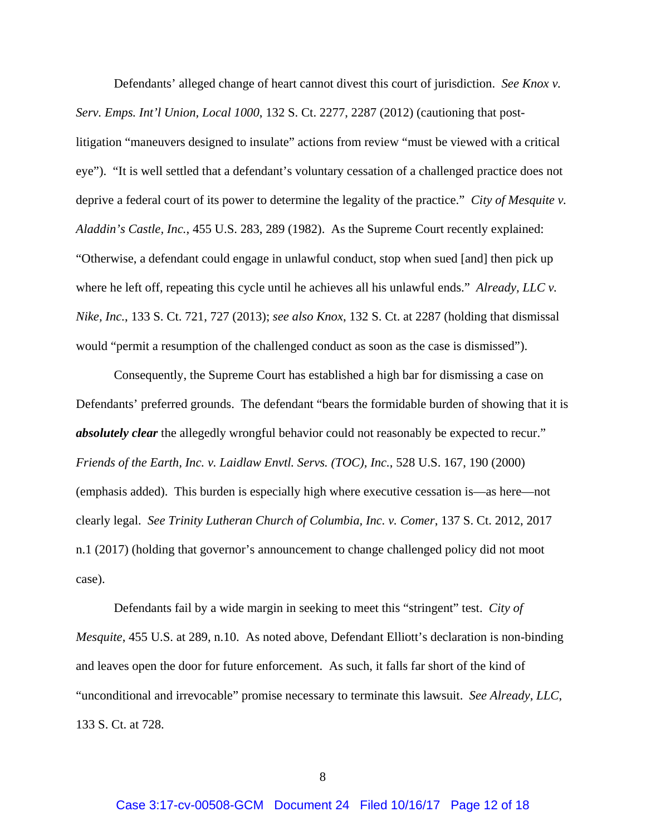Defendants' alleged change of heart cannot divest this court of jurisdiction. *See Knox v. Serv. Emps. Int'l Union, Local 1000*, 132 S. Ct. 2277, 2287 (2012) (cautioning that postlitigation "maneuvers designed to insulate" actions from review "must be viewed with a critical eye"). "It is well settled that a defendant's voluntary cessation of a challenged practice does not deprive a federal court of its power to determine the legality of the practice." *City of Mesquite v. Aladdin's Castle, Inc.*, 455 U.S. 283, 289 (1982). As the Supreme Court recently explained: "Otherwise, a defendant could engage in unlawful conduct, stop when sued [and] then pick up where he left off, repeating this cycle until he achieves all his unlawful ends." *Already, LLC v. Nike, Inc.*, 133 S. Ct. 721, 727 (2013); *see also Knox*, 132 S. Ct. at 2287 (holding that dismissal would "permit a resumption of the challenged conduct as soon as the case is dismissed").

Consequently, the Supreme Court has established a high bar for dismissing a case on Defendants' preferred grounds. The defendant "bears the formidable burden of showing that it is *absolutely clear* the allegedly wrongful behavior could not reasonably be expected to recur." *Friends of the Earth, Inc. v. Laidlaw Envtl. Servs. (TOC), Inc.*, 528 U.S. 167, 190 (2000) (emphasis added). This burden is especially high where executive cessation is—as here—not clearly legal. *See Trinity Lutheran Church of Columbia, Inc. v. Comer*, 137 S. Ct. 2012, 2017 n.1 (2017) (holding that governor's announcement to change challenged policy did not moot case).

 Defendants fail by a wide margin in seeking to meet this "stringent" test. *City of Mesquite*, 455 U.S. at 289, n.10. As noted above, Defendant Elliott's declaration is non-binding and leaves open the door for future enforcement. As such, it falls far short of the kind of "unconditional and irrevocable" promise necessary to terminate this lawsuit. *See Already, LLC*, 133 S. Ct. at 728.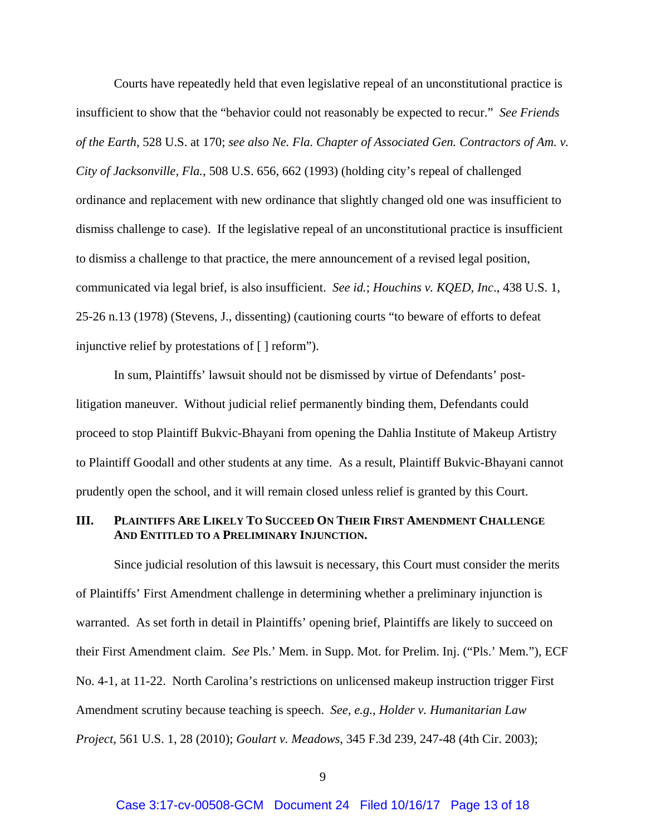Courts have repeatedly held that even legislative repeal of an unconstitutional practice is insufficient to show that the "behavior could not reasonably be expected to recur." *See Friends of the Earth*, 528 U.S. at 170; *see also Ne. Fla. Chapter of Associated Gen. Contractors of Am. v. City of Jacksonville, Fla.*, 508 U.S. 656, 662 (1993) (holding city's repeal of challenged ordinance and replacement with new ordinance that slightly changed old one was insufficient to dismiss challenge to case). If the legislative repeal of an unconstitutional practice is insufficient to dismiss a challenge to that practice, the mere announcement of a revised legal position, communicated via legal brief, is also insufficient. *See id.*; *Houchins v. KQED, Inc*., 438 U.S. 1, 25-26 n.13 (1978) (Stevens, J., dissenting) (cautioning courts "to beware of efforts to defeat injunctive relief by protestations of [ ] reform").

In sum, Plaintiffs' lawsuit should not be dismissed by virtue of Defendants' postlitigation maneuver. Without judicial relief permanently binding them, Defendants could proceed to stop Plaintiff Bukvic-Bhayani from opening the Dahlia Institute of Makeup Artistry to Plaintiff Goodall and other students at any time. As a result, Plaintiff Bukvic-Bhayani cannot prudently open the school, and it will remain closed unless relief is granted by this Court.

# **III. PLAINTIFFS ARE LIKELY TO SUCCEED ON THEIR FIRST AMENDMENT CHALLENGE AND ENTITLED TO A PRELIMINARY INJUNCTION.**

Since judicial resolution of this lawsuit is necessary, this Court must consider the merits of Plaintiffs' First Amendment challenge in determining whether a preliminary injunction is warranted. As set forth in detail in Plaintiffs' opening brief, Plaintiffs are likely to succeed on their First Amendment claim. *See* Pls.' Mem. in Supp. Mot. for Prelim. Inj. ("Pls.' Mem."), ECF No. 4-1, at 11-22. North Carolina's restrictions on unlicensed makeup instruction trigger First Amendment scrutiny because teaching is speech. *See, e.g.*, *Holder v. Humanitarian Law Project*, 561 U.S. 1, 28 (2010); *Goulart v. Meadows*, 345 F.3d 239, 247-48 (4th Cir. 2003);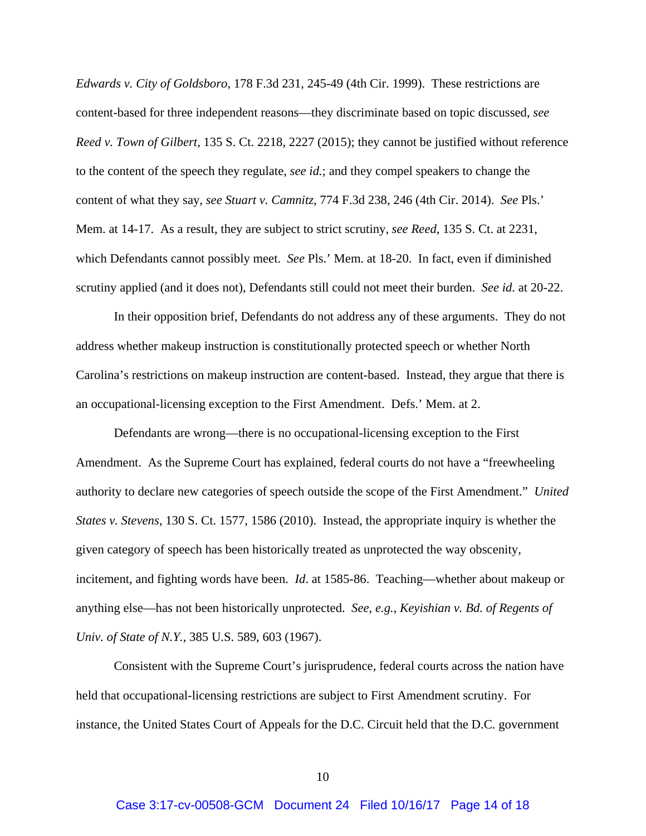*Edwards v. City of Goldsboro*, 178 F.3d 231, 245-49 (4th Cir. 1999). These restrictions are content-based for three independent reasons—they discriminate based on topic discussed, *see Reed v. Town of Gilbert,* 135 S. Ct. 2218, 2227 (2015); they cannot be justified without reference to the content of the speech they regulate, *see id.*; and they compel speakers to change the content of what they say, *see Stuart v. Camnitz*, 774 F.3d 238, 246 (4th Cir. 2014). *See* Pls.' Mem. at 14-17. As a result, they are subject to strict scrutiny, *see Reed*, 135 S. Ct. at 2231, which Defendants cannot possibly meet. *See* Pls.' Mem. at 18-20. In fact, even if diminished scrutiny applied (and it does not), Defendants still could not meet their burden. *See id*. at 20-22.

In their opposition brief, Defendants do not address any of these arguments. They do not address whether makeup instruction is constitutionally protected speech or whether North Carolina's restrictions on makeup instruction are content-based. Instead, they argue that there is an occupational-licensing exception to the First Amendment. Defs.' Mem. at 2.

Defendants are wrong—there is no occupational-licensing exception to the First Amendment. As the Supreme Court has explained, federal courts do not have a "freewheeling authority to declare new categories of speech outside the scope of the First Amendment." *United States v. Stevens*, 130 S. Ct. 1577, 1586 (2010). Instead, the appropriate inquiry is whether the given category of speech has been historically treated as unprotected the way obscenity, incitement, and fighting words have been. *Id*. at 1585-86. Teaching—whether about makeup or anything else—has not been historically unprotected. *See, e.g.*, *Keyishian v. Bd. of Regents of Univ. of State of N.Y.*, 385 U.S. 589, 603 (1967).

Consistent with the Supreme Court's jurisprudence, federal courts across the nation have held that occupational-licensing restrictions are subject to First Amendment scrutiny. For instance, the United States Court of Appeals for the D.C. Circuit held that the D.C. government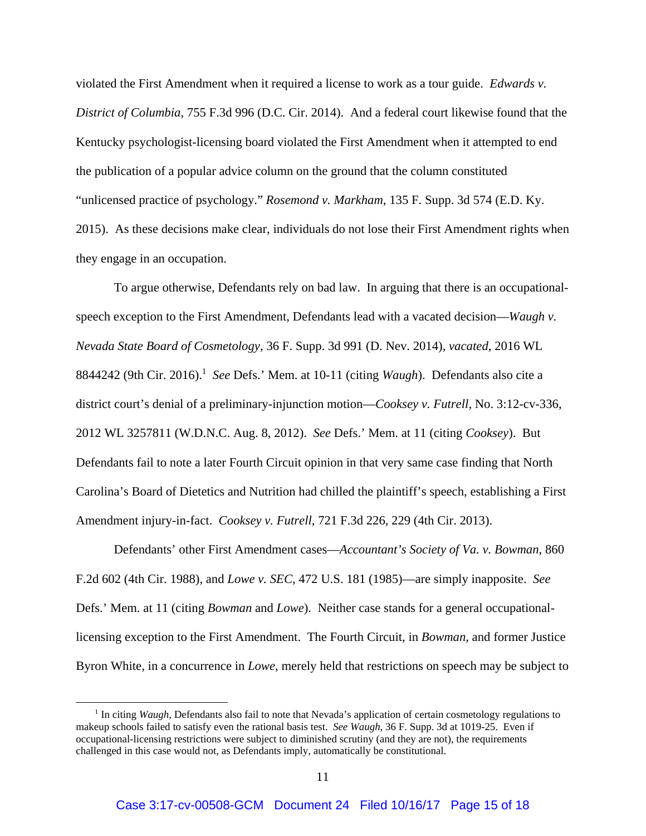violated the First Amendment when it required a license to work as a tour guide. *Edwards v. District of Columbia*, 755 F.3d 996 (D.C. Cir. 2014). And a federal court likewise found that the Kentucky psychologist-licensing board violated the First Amendment when it attempted to end the publication of a popular advice column on the ground that the column constituted "unlicensed practice of psychology." *Rosemond v. Markham*, 135 F. Supp. 3d 574 (E.D. Ky. 2015). As these decisions make clear, individuals do not lose their First Amendment rights when they engage in an occupation.

To argue otherwise, Defendants rely on bad law. In arguing that there is an occupationalspeech exception to the First Amendment, Defendants lead with a vacated decision—*Waugh v. Nevada State Board of Cosmetology*, 36 F. Supp. 3d 991 (D. Nev. 2014), *vacated*, 2016 WL 8844242 (9th Cir. 2016).<sup>1</sup> See Defs.' Mem. at 10-11 (citing *Waugh*). Defendants also cite a district court's denial of a preliminary-injunction motion—*Cooksey v. Futrell,* No. 3:12-cv-336, 2012 WL 3257811 (W.D.N.C. Aug. 8, 2012). *See* Defs.' Mem. at 11 (citing *Cooksey*). But Defendants fail to note a later Fourth Circuit opinion in that very same case finding that North Carolina's Board of Dietetics and Nutrition had chilled the plaintiff's speech, establishing a First Amendment injury-in-fact. *Cooksey v. Futrell*, 721 F.3d 226, 229 (4th Cir. 2013).

Defendants' other First Amendment cases—*Accountant's Society of Va. v. Bowman*, 860 F.2d 602 (4th Cir. 1988), and *Lowe v. SEC*, 472 U.S. 181 (1985)—are simply inapposite. *See*  Defs.' Mem. at 11 (citing *Bowman* and *Lowe*). Neither case stands for a general occupationallicensing exception to the First Amendment. The Fourth Circuit, in *Bowman*, and former Justice Byron White, in a concurrence in *Lowe*, merely held that restrictions on speech may be subject to

<sup>&</sup>lt;sup>1</sup> In citing *Waugh*, Defendants also fail to note that Nevada's application of certain cosmetology regulations to makeup schools failed to satisfy even the rational basis test. *See Waugh*, 36 F. Supp. 3d at 1019-25. Even if occupational-licensing restrictions were subject to diminished scrutiny (and they are not), the requirements challenged in this case would not, as Defendants imply, automatically be constitutional.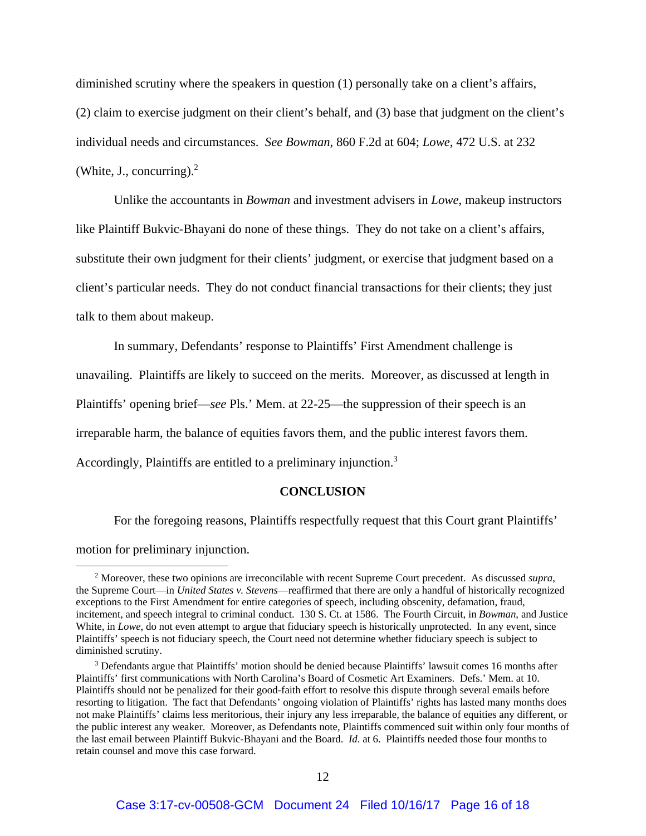diminished scrutiny where the speakers in question (1) personally take on a client's affairs, (2) claim to exercise judgment on their client's behalf, and (3) base that judgment on the client's individual needs and circumstances. *See Bowman*, 860 F.2d at 604; *Lowe*, 472 U.S. at 232 (White, J., concurring). $<sup>2</sup>$ </sup>

Unlike the accountants in *Bowman* and investment advisers in *Lowe*, makeup instructors like Plaintiff Bukvic-Bhayani do none of these things. They do not take on a client's affairs, substitute their own judgment for their clients' judgment, or exercise that judgment based on a client's particular needs. They do not conduct financial transactions for their clients; they just talk to them about makeup.

In summary, Defendants' response to Plaintiffs' First Amendment challenge is unavailing. Plaintiffs are likely to succeed on the merits. Moreover, as discussed at length in Plaintiffs' opening brief—*see* Pls.' Mem. at 22-25—the suppression of their speech is an irreparable harm, the balance of equities favors them, and the public interest favors them. Accordingly, Plaintiffs are entitled to a preliminary injunction.3

#### **CONCLUSION**

For the foregoing reasons, Plaintiffs respectfully request that this Court grant Plaintiffs'

motion for preliminary injunction.

<sup>2</sup> Moreover, these two opinions are irreconcilable with recent Supreme Court precedent. As discussed *supra*, the Supreme Court—in *United States v. Stevens*—reaffirmed that there are only a handful of historically recognized exceptions to the First Amendment for entire categories of speech, including obscenity, defamation, fraud, incitement, and speech integral to criminal conduct. 130 S. Ct. at 1586. The Fourth Circuit, in *Bowman*, and Justice White, in *Lowe*, do not even attempt to argue that fiduciary speech is historically unprotected. In any event, since Plaintiffs' speech is not fiduciary speech, the Court need not determine whether fiduciary speech is subject to diminished scrutiny.

<sup>&</sup>lt;sup>3</sup> Defendants argue that Plaintiffs' motion should be denied because Plaintiffs' lawsuit comes 16 months after Plaintiffs' first communications with North Carolina's Board of Cosmetic Art Examiners. Defs.' Mem. at 10. Plaintiffs should not be penalized for their good-faith effort to resolve this dispute through several emails before resorting to litigation. The fact that Defendants' ongoing violation of Plaintiffs' rights has lasted many months does not make Plaintiffs' claims less meritorious, their injury any less irreparable, the balance of equities any different, or the public interest any weaker. Moreover, as Defendants note, Plaintiffs commenced suit within only four months of the last email between Plaintiff Bukvic-Bhayani and the Board. *Id*. at 6. Plaintiffs needed those four months to retain counsel and move this case forward.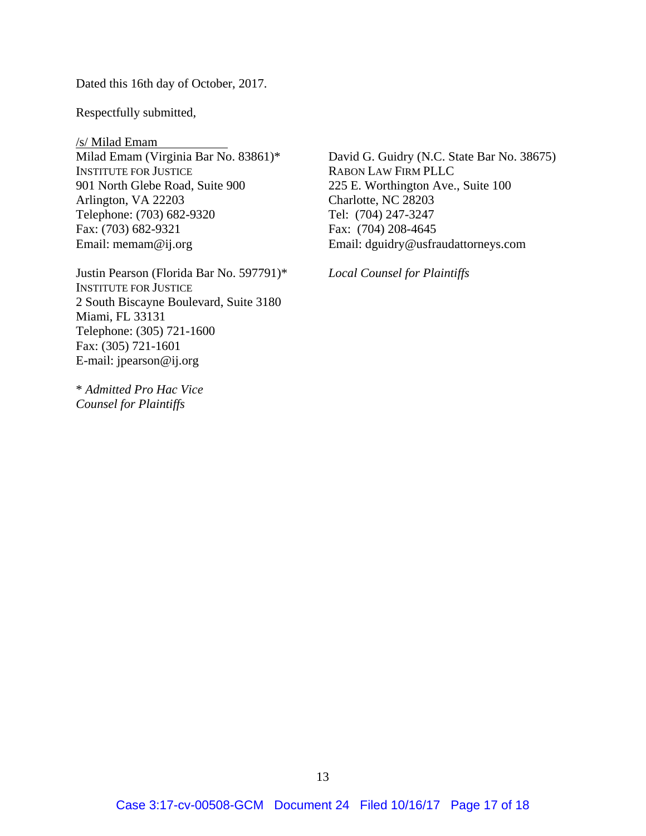Dated this 16th day of October, 2017.

Respectfully submitted,

/s/ Milad Emam Milad Emam (Virginia Bar No. 83861)\* INSTITUTE FOR JUSTICE 901 North Glebe Road, Suite 900 Arlington, VA 22203 Telephone: (703) 682-9320 Fax: (703) 682-9321 Email: memam@ij.org

Justin Pearson (Florida Bar No. 597791)\* INSTITUTE FOR JUSTICE 2 South Biscayne Boulevard, Suite 3180 Miami, FL 33131 Telephone: (305) 721-1600 Fax: (305) 721-1601 E-mail: jpearson@ij.org

\* *Admitted Pro Hac Vice Counsel for Plaintiffs* 

David G. Guidry (N.C. State Bar No. 38675) RABON LAW FIRM PLLC 225 E. Worthington Ave., Suite 100 Charlotte, NC 28203 Tel: (704) 247-3247 Fax: (704) 208-4645 Email: dguidry@usfraudattorneys.com

*Local Counsel for Plaintiffs*